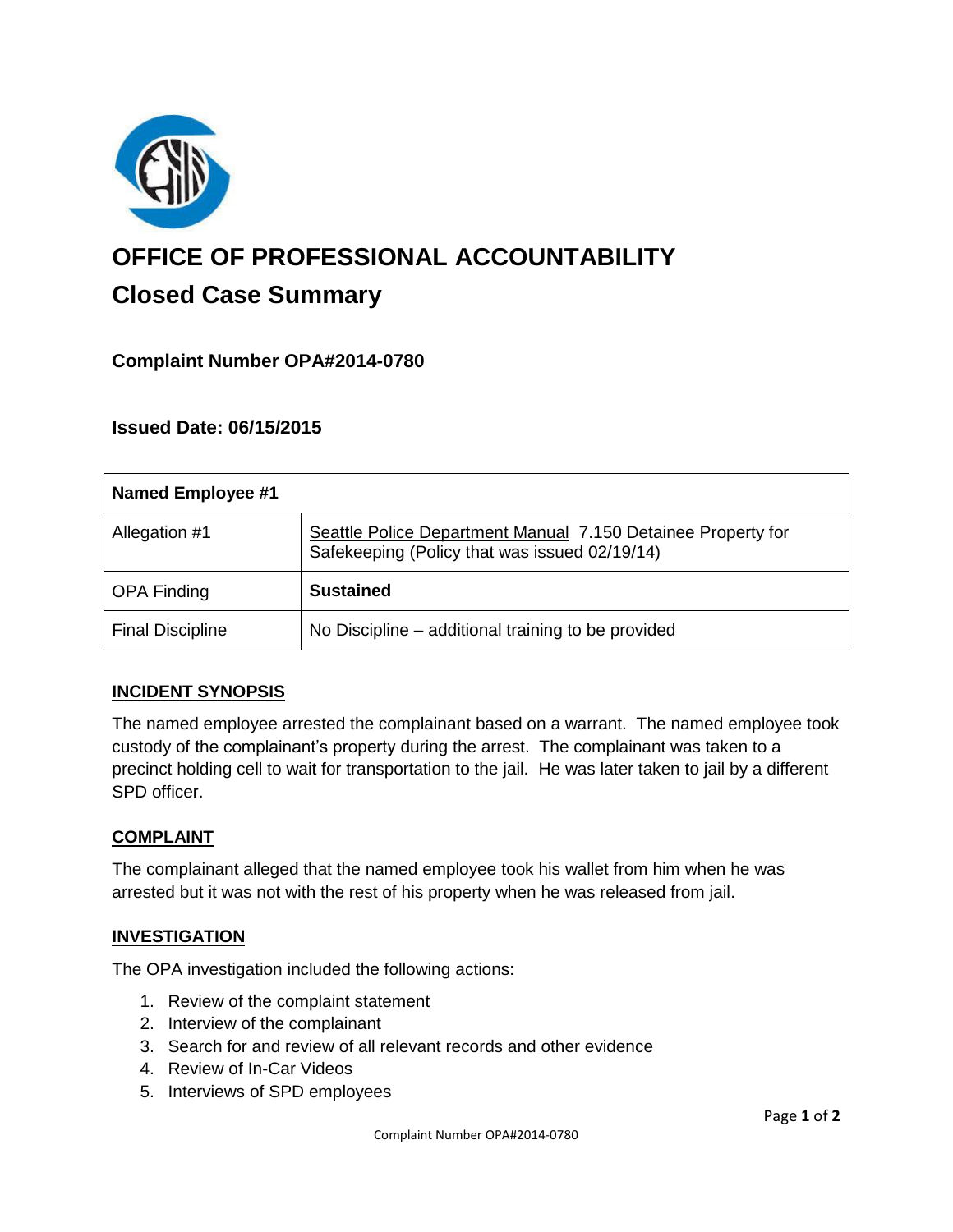

# **OFFICE OF PROFESSIONAL ACCOUNTABILITY Closed Case Summary**

# **Complaint Number OPA#2014-0780**

## **Issued Date: 06/15/2015**

| <b>Named Employee #1</b> |                                                                                                               |
|--------------------------|---------------------------------------------------------------------------------------------------------------|
| Allegation #1            | Seattle Police Department Manual 7.150 Detainee Property for<br>Safekeeping (Policy that was issued 02/19/14) |
| <b>OPA Finding</b>       | <b>Sustained</b>                                                                                              |
| <b>Final Discipline</b>  | No Discipline – additional training to be provided                                                            |

### **INCIDENT SYNOPSIS**

The named employee arrested the complainant based on a warrant. The named employee took custody of the complainant's property during the arrest. The complainant was taken to a precinct holding cell to wait for transportation to the jail. He was later taken to jail by a different SPD officer.

#### **COMPLAINT**

The complainant alleged that the named employee took his wallet from him when he was arrested but it was not with the rest of his property when he was released from jail.

### **INVESTIGATION**

The OPA investigation included the following actions:

- 1. Review of the complaint statement
- 2. Interview of the complainant
- 3. Search for and review of all relevant records and other evidence
- 4. Review of In-Car Videos
- 5. Interviews of SPD employees